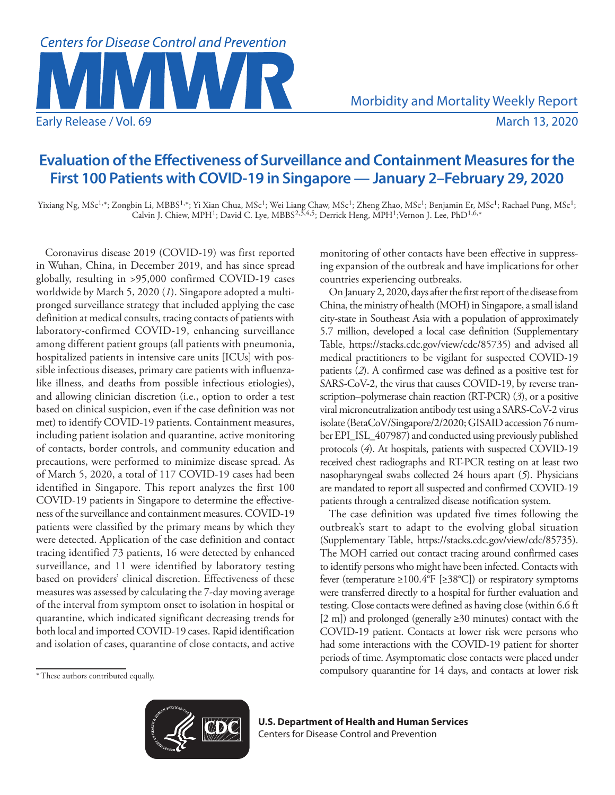

Morbidity and Mortality Weekly Report

# **Evaluation of the Effectiveness of Surveillance and Containment Measures for the First 100 Patients with COVID-19 in Singapore — January 2–February 29, 2020**

Yixiang Ng, MSc1,\*; Zongbin Li, MBBS1,\*; Yi Xian Chua, MSc1; Wei Liang Chaw, MSc1; Zheng Zhao, MSc1; Benjamin Er, MSc1; Rachael Pung, MSc1; Calvin J. Chiew, MPH<sup>1</sup>; David C. Lye, MBBS<sup>2,3,4,5</sup>; Derrick Heng, MPH<sup>1</sup>;Vernon J. Lee, PhD<sup>1,6,\*</sup>

Coronavirus disease 2019 (COVID-19) was first reported in Wuhan, China, in December 2019, and has since spread globally, resulting in >95,000 confirmed COVID-19 cases worldwide by March 5, 2020 (*1*). Singapore adopted a multipronged surveillance strategy that included applying the case definition at medical consults, tracing contacts of patients with laboratory-confirmed COVID-19, enhancing surveillance among different patient groups (all patients with pneumonia, hospitalized patients in intensive care units [ICUs] with possible infectious diseases, primary care patients with influenzalike illness, and deaths from possible infectious etiologies), and allowing clinician discretion (i.e., option to order a test based on clinical suspicion, even if the case definition was not met) to identify COVID-19 patients. Containment measures, including patient isolation and quarantine, active monitoring of contacts, border controls, and community education and precautions, were performed to minimize disease spread. As of March 5, 2020, a total of 117 COVID-19 cases had been identified in Singapore. This report analyzes the first 100 COVID-19 patients in Singapore to determine the effectiveness of the surveillance and containment measures. COVID-19 patients were classified by the primary means by which they were detected. Application of the case definition and contact tracing identified 73 patients, 16 were detected by enhanced surveillance, and 11 were identified by laboratory testing based on providers' clinical discretion. Effectiveness of these measures was assessed by calculating the 7-day moving average of the interval from symptom onset to isolation in hospital or quarantine, which indicated significant decreasing trends for both local and imported COVID-19 cases. Rapid identification and isolation of cases, quarantine of close contacts, and active monitoring of other contacts have been effective in suppressing expansion of the outbreak and have implications for other countries experiencing outbreaks.

On January 2, 2020, days after the first report of the disease from China, the ministry of health (MOH) in Singapore, a small island city-state in Southeast Asia with a population of approximately 5.7 million, developed a local case definition (Supplementary Table, <https://stacks.cdc.gov/view/cdc/85735>) and advised all medical practitioners to be vigilant for suspected COVID-19 patients (*2*). A confirmed case was defined as a positive test for SARS-CoV-2, the virus that causes COVID-19, by reverse transcription–polymerase chain reaction (RT-PCR) (*3*), or a positive viral microneutralization antibody test using a SARS-CoV-2 virus isolate (BetaCoV/Singapore/2/2020; GISAID accession 76 number EPI\_ISL\_407987) and conducted using previously published protocols (*4*). At hospitals, patients with suspected COVID-19 received chest radiographs and RT-PCR testing on at least two nasopharyngeal swabs collected 24 hours apart (*5*). Physicians are mandated to report all suspected and confirmed COVID-19 patients through a centralized disease notification system.

The case definition was updated five times following the outbreak's start to adapt to the evolving global situation (Supplementary Table, [https://stacks.cdc.gov/view/cdc/85735\)](https://stacks.cdc.gov/view/cdc/85735). The MOH carried out contact tracing around confirmed cases to identify persons who might have been infected. Contacts with fever (temperature ≥100.4°F [≥38°C]) or respiratory symptoms were transferred directly to a hospital for further evaluation and testing. Close contacts were defined as having close (within 6.6 ft [2 m]) and prolonged (generally ≥30 minutes) contact with the COVID-19 patient. Contacts at lower risk were persons who had some interactions with the COVID-19 patient for shorter periods of time. Asymptomatic close contacts were placed under compulsory quarantine for 14 days, and contacts at lower risk

<sup>\*</sup>These authors contributed equally.



**U.S. Department of Health and Human Services** Centers for Disease Control and Prevention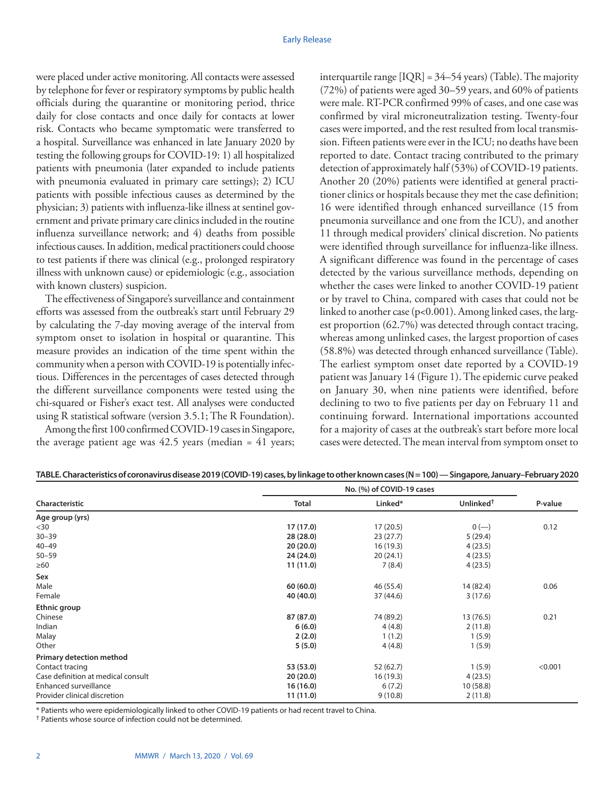were placed under active monitoring. All contacts were assessed by telephone for fever or respiratory symptoms by public health officials during the quarantine or monitoring period, thrice daily for close contacts and once daily for contacts at lower risk. Contacts who became symptomatic were transferred to a hospital. Surveillance was enhanced in late January 2020 by testing the following groups for COVID-19: 1) all hospitalized patients with pneumonia (later expanded to include patients with pneumonia evaluated in primary care settings); 2) ICU patients with possible infectious causes as determined by the physician; 3) patients with influenza-like illness at sentinel government and private primary care clinics included in the routine influenza surveillance network; and 4) deaths from possible infectious causes. In addition, medical practitioners could choose to test patients if there was clinical (e.g., prolonged respiratory illness with unknown cause) or epidemiologic (e.g., association with known clusters) suspicion.

The effectiveness of Singapore's surveillance and containment efforts was assessed from the outbreak's start until February 29 by calculating the 7-day moving average of the interval from symptom onset to isolation in hospital or quarantine. This measure provides an indication of the time spent within the community when a person with COVID-19 is potentially infectious. Differences in the percentages of cases detected through the different surveillance components were tested using the chi-squared or Fisher's exact test. All analyses were conducted using R statistical software (version 3.5.1; The R Foundation).

Among the first 100 confirmed COVID-19 cases in Singapore, the average patient age was  $42.5$  years (median =  $41$  years; interquartile range [IQR] = 34–54 years) (Table). The majority (72%) of patients were aged 30–59 years, and 60% of patients were male. RT-PCR confirmed 99% of cases, and one case was confirmed by viral microneutralization testing. Twenty-four cases were imported, and the rest resulted from local transmission. Fifteen patients were ever in the ICU; no deaths have been reported to date. Contact tracing contributed to the primary detection of approximately half (53%) of COVID-19 patients. Another 20 (20%) patients were identified at general practitioner clinics or hospitals because they met the case definition; 16 were identified through enhanced surveillance (15 from pneumonia surveillance and one from the ICU), and another 11 through medical providers' clinical discretion. No patients were identified through surveillance for influenza-like illness. A significant difference was found in the percentage of cases detected by the various surveillance methods, depending on whether the cases were linked to another COVID-19 patient or by travel to China, compared with cases that could not be linked to another case (p<0.001). Among linked cases, the largest proportion (62.7%) was detected through contact tracing, whereas among unlinked cases, the largest proportion of cases (58.8%) was detected through enhanced surveillance (Table). The earliest symptom onset date reported by a COVID-19 patient was January 14 (Figure 1). The epidemic curve peaked on January 30, when nine patients were identified, before declining to two to five patients per day on February 11 and continuing forward. International importations accounted for a majority of cases at the outbreak's start before more local cases were detected. The mean interval from symptom onset to

| Characteristic                     | No. (%) of COVID-19 cases |           |                       |         |
|------------------------------------|---------------------------|-----------|-----------------------|---------|
|                                    | <b>Total</b>              | Linked*   | Unlinked <sup>+</sup> | P-value |
| Age group (yrs)                    |                           |           |                       |         |
| $30$                               | 17 (17.0)                 | 17(20.5)  | $0 (-)$               | 0.12    |
| $30 - 39$                          | 28 (28.0)                 | 23(27.7)  | 5(29.4)               |         |
| $40 - 49$                          | 20(20.0)                  | 16(19.3)  | 4(23.5)               |         |
| $50 - 59$                          | 24 (24.0)                 | 20(24.1)  | 4(23.5)               |         |
| $\geq 60$                          | 11 (11.0)                 | 7(8.4)    | 4(23.5)               |         |
| Sex                                |                           |           |                       |         |
| Male                               | 60(60.0)                  | 46 (55.4) | 14 (82.4)             | 0.06    |
| Female                             | 40 (40.0)                 | 37 (44.6) | 3(17.6)               |         |
| Ethnic group                       |                           |           |                       |         |
| Chinese                            | 87 (87.0)                 | 74 (89.2) | 13 (76.5)             | 0.21    |
| Indian                             | 6(6.0)                    | 4(4.8)    | 2(11.8)               |         |
| Malay                              | 2(2.0)                    | 1(1.2)    | 1(5.9)                |         |
| Other                              | 5(5.0)                    | 4(4.8)    | 1(5.9)                |         |
| Primary detection method           |                           |           |                       |         |
| Contact tracing                    | 53 (53.0)                 | 52 (62.7) | 1(5.9)                | < 0.001 |
| Case definition at medical consult | 20(20.0)                  | 16(19.3)  | 4(23.5)               |         |
| Enhanced surveillance              | 16(16.0)                  | 6(7.2)    | 10(58.8)              |         |
| Provider clinical discretion       | 11 (11.0)                 | 9(10.8)   | 2(11.8)               |         |

**TABLE. Characteristics of coronavirus disease 2019 (COVID-19) cases, by linkage to other known cases (N = 100) — Singapore, January–February 2020**

\* Patients who were epidemiologically linked to other COVID-19 patients or had recent travel to China.

† Patients whose source of infection could not be determined.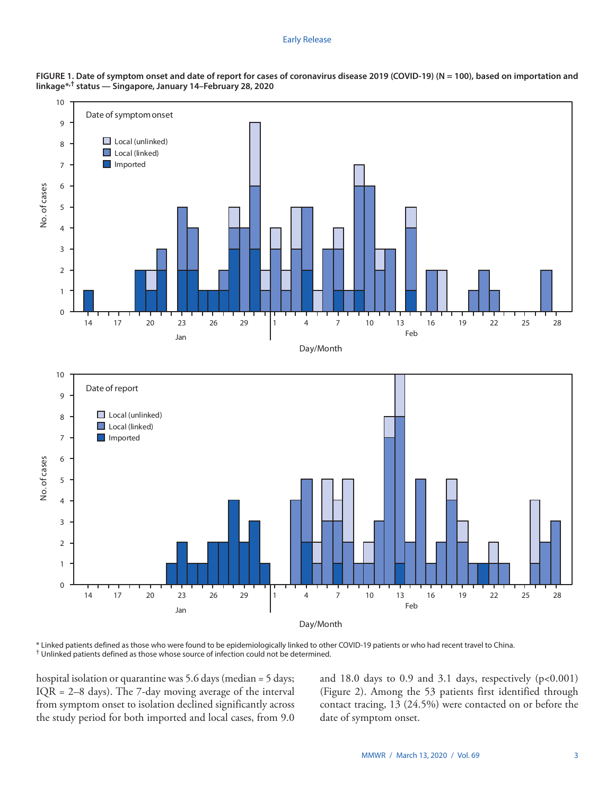#### Early Release



**FIGURE 1. Date of symptom onset and date of report for cases of coronavirus disease 2019 (COVID-19) (N = 100), based on importation and linkage\*,† status — Singapore, January 14–February 28, 2020**

\* Linked patients defined as those who were found to be epidemiologically linked to other COVID-19 patients or who had recent travel to China. † Unlinked patients defined as those whose source of infection could not be determined.

hospital isolation or quarantine was 5.6 days (median = 5 days;  $IQR = 2-8$  days). The 7-day moving average of the interval from symptom onset to isolation declined significantly across the study period for both imported and local cases, from 9.0 and  $18.0$  days to  $0.9$  and  $3.1$  days, respectively (p<0.001) (Figure 2). Among the 53 patients first identified through contact tracing, 13 (24.5%) were contacted on or before the date of symptom onset.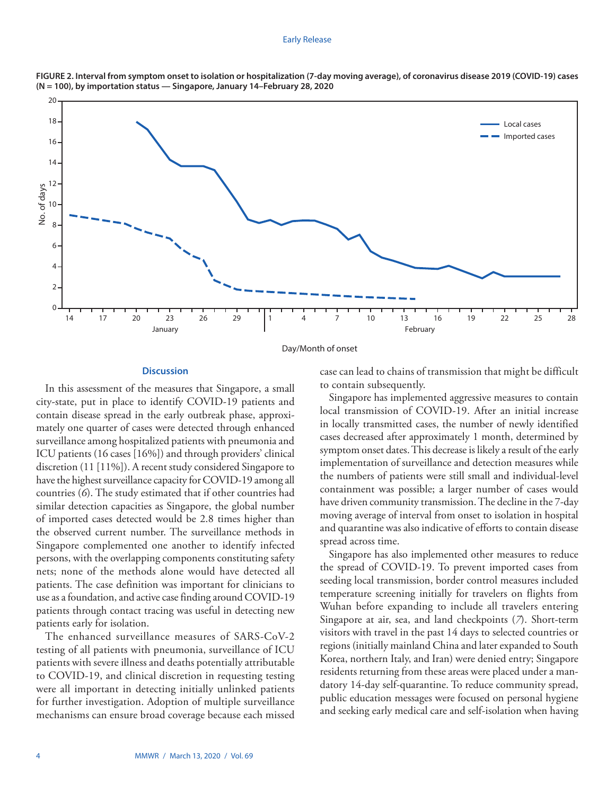#### Early Release



**FIGURE 2. Interval from symptom onset to isolation or hospitalization (7-day moving average), of coronavirus disease 2019 (COVID-19) cases (N = 100), by importation status — Singapore, January 14–February 28, 2020**

# **Discussion**

In this assessment of the measures that Singapore, a small city-state, put in place to identify COVID-19 patients and contain disease spread in the early outbreak phase, approximately one quarter of cases were detected through enhanced surveillance among hospitalized patients with pneumonia and ICU patients (16 cases [16%]) and through providers' clinical discretion (11 [11%]). A recent study considered Singapore to have the highest surveillance capacity for COVID-19 among all countries (*6*). The study estimated that if other countries had similar detection capacities as Singapore, the global number of imported cases detected would be 2.8 times higher than the observed current number. The surveillance methods in Singapore complemented one another to identify infected persons, with the overlapping components constituting safety nets; none of the methods alone would have detected all patients. The case definition was important for clinicians to use as a foundation, and active case finding around COVID-19 patients through contact tracing was useful in detecting new patients early for isolation.

The enhanced surveillance measures of SARS-CoV-2 testing of all patients with pneumonia, surveillance of ICU patients with severe illness and deaths potentially attributable to COVID-19, and clinical discretion in requesting testing were all important in detecting initially unlinked patients for further investigation. Adoption of multiple surveillance mechanisms can ensure broad coverage because each missed case can lead to chains of transmission that might be difficult to contain subsequently.

Singapore has implemented aggressive measures to contain local transmission of COVID-19. After an initial increase in locally transmitted cases, the number of newly identified cases decreased after approximately 1 month, determined by symptom onset dates. This decrease is likely a result of the early implementation of surveillance and detection measures while the numbers of patients were still small and individual-level containment was possible; a larger number of cases would have driven community transmission. The decline in the 7-day moving average of interval from onset to isolation in hospital and quarantine was also indicative of efforts to contain disease spread across time.

Singapore has also implemented other measures to reduce the spread of COVID-19. To prevent imported cases from seeding local transmission, border control measures included temperature screening initially for travelers on flights from Wuhan before expanding to include all travelers entering Singapore at air, sea, and land checkpoints (*7*). Short-term visitors with travel in the past 14 days to selected countries or regions (initially mainland China and later expanded to South Korea, northern Italy, and Iran) were denied entry; Singapore residents returning from these areas were placed under a mandatory 14-day self-quarantine. To reduce community spread, public education messages were focused on personal hygiene and seeking early medical care and self-isolation when having